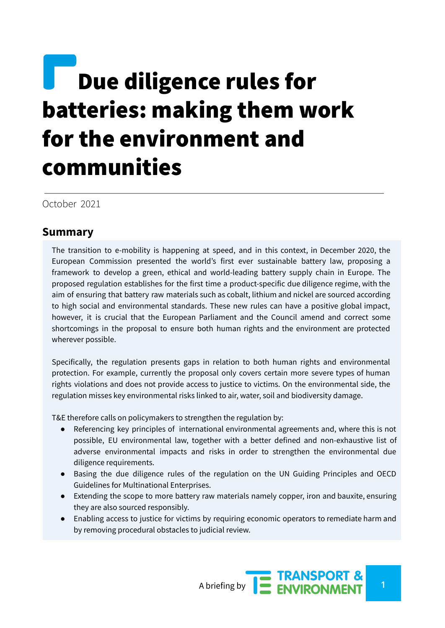# **Due diligence rules for** batteries: making them work for the environment and communities

October 2021

## **Summary**

The transition to e-mobility is happening at speed, and in this context, in December 2020, the European Commission presented the world's first ever sustainable battery law, proposing a framework to develop a green, ethical and world-leading battery supply chain in Europe. The proposed regulation establishes for the first time a product-specific due diligence regime, with the aim of ensuring that battery raw materials such as cobalt, lithium and nickel are sourced according to high social and environmental standards. These new rules can have a positive global impact, however, it is crucial that the European Parliament and the Council amend and correct some shortcomings in the proposal to ensure both human rights and the environment are protected wherever possible.

Specifically, the regulation presents gaps in relation to both human rights and environmental protection. For example, currently the proposal only covers certain more severe types of human rights violations and does not provide access to justice to victims. On the environmental side, the regulation misses key environmental risks linked to air, water, soil and biodiversity damage.

T&E therefore calls on policymakers to strengthen the regulation by:

- Referencing key principles of international environmental agreements and, where this is not possible, EU environmental law, together with a better defined and non-exhaustive list of adverse environmental impacts and risks in order to strengthen the environmental due diligence requirements.
- Basing the due diligence rules of the regulation on the UN Guiding Principles and OECD Guidelines for Multinational Enterprises.
- Extending the scope to more battery raw materials namely copper, iron and bauxite, ensuring they are also sourced responsibly.
- Enabling access to justice for victims by requiring economic operators to remediate harm and by removing procedural obstacles to judicial review.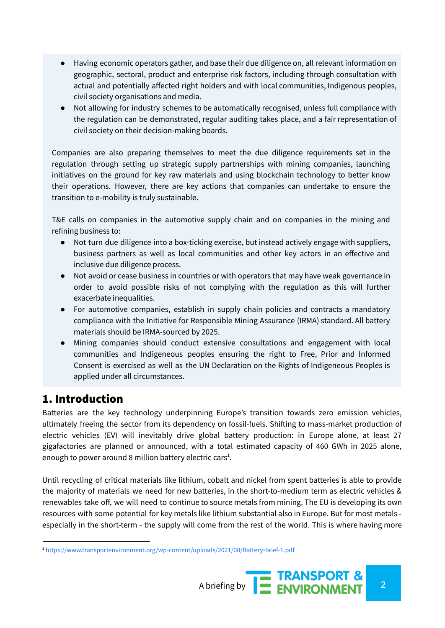- Having economic operators gather, and base their due diligence on, all relevant information on geographic, sectoral, product and enterprise risk factors, including through consultation with actual and potentially affected right holders and with local communities, Indigenous peoples, civil society organisations and media.
- Not allowing for industry schemes to be automatically recognised, unless full compliance with the regulation can be demonstrated, regular auditing takes place, and a fair representation of civil society on their decision-making boards.

Companies are also preparing themselves to meet the due diligence requirements set in the regulation through setting up strategic supply partnerships with mining companies, launching initiatives on the ground for key raw materials and using blockchain technology to better know their operations. However, there are key actions that companies can undertake to ensure the transition to e-mobility is truly sustainable.

T&E calls on companies in the automotive supply chain and on companies in the mining and refining business to:

- Not turn due diligence into a box-ticking exercise, but instead actively engage with suppliers, business partners as well as local communities and other key actors in an effective and inclusive due diligence process.
- Not avoid or cease business in countries or with operators that may have weak governance in order to avoid possible risks of not complying with the regulation as this will further exacerbate inequalities.
- For automotive companies, establish in supply chain policies and contracts a mandatory compliance with the Initiative for Responsible Mining Assurance (IRMA) standard. All battery materials should be IRMA-sourced by 2025.
- Mining companies should conduct extensive consultations and engagement with local communities and Indigeneous peoples ensuring the right to Free, Prior and Informed Consent is exercised as well as the UN Declaration on the Rights of Indigeneous Peoples is applied under all circumstances.

# 1. Introduction

Batteries are the key technology underpinning Europe's transition towards zero emission vehicles, ultimately freeing the sector from its dependency on fossil-fuels. Shifting to mass-market production of electric vehicles (EV) will inevitably drive global battery production: in Europe alone, at least 27 gigafactories are planned or announced, with a total estimated capacity of 460 GWh in 2025 alone, enough to power around 8 million battery electric cars $^1$ .

Until recycling of critical materials like lithium, cobalt and nickel from spent batteries is able to provide the majority of materials we need for new batteries, in the short-to-medium term as electric vehicles & renewables take off, we will need to continue to source metals from mining. The EU is developing its own resources with some potential for key metals like lithium substantial also in Europe. But for most metals especially in the short-term - the supply will come from the rest of the world. This is where having more

<sup>1</sup> <https://www.transportenvironment.org/wp-content/uploads/2021/08/Battery-brief-1.pdf>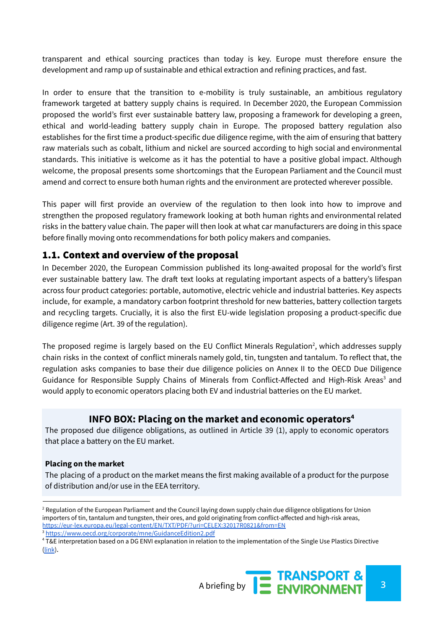transparent and ethical sourcing practices than today is key. Europe must therefore ensure the development and ramp up of sustainable and ethical extraction and refining practices, and fast.

In order to ensure that the transition to e-mobility is truly sustainable, an ambitious regulatory framework targeted at battery supply chains is required. In December 2020, the European Commission proposed the world's first ever sustainable battery law, proposing a framework for developing a green, ethical and world-leading battery supply chain in Europe. The proposed battery regulation also establishes for the first time a product-specific due diligence regime, with the aim of ensuring that battery raw materials such as cobalt, lithium and nickel are sourced according to high social and environmental standards. This initiative is welcome as it has the potential to have a positive global impact. Although welcome, the proposal presents some shortcomings that the European Parliament and the Council must amend and correct to ensure both human rights and the environment are protected wherever possible.

This paper will first provide an overview of the regulation to then look into how to improve and strengthen the proposed regulatory framework looking at both human rights and environmental related risks in the battery value chain. The paper will then look at what car manufacturers are doing in this space before finally moving onto recommendations for both policy makers and companies.

## 1.1. Context and overview of the proposal

In December 2020, the European Commission published its long-awaited proposal for the world's first ever sustainable battery law. The draft text looks at regulating important aspects of a battery's lifespan across four product categories: portable, automotive, electric vehicle and industrial batteries. Key aspects include, for example, a mandatory carbon footprint threshold for new batteries, battery collection targets and recycling targets. Crucially, it is also the first EU-wide legislation proposing a product-specific due diligence regime (Art. 39 of the regulation).

The proposed regime is largely based on the EU Conflict Minerals Regulation<sup>2</sup>, which addresses supply chain risks in the context of conflict minerals namely gold, tin, tungsten and tantalum. To reflect that, the regulation asks companies to base their due diligence policies on Annex II to the OECD Due Diligence Guidance for Responsible Supply Chains of Minerals from Conflict-Affected and High-Risk Areas<sup>3</sup> and would apply to economic operators placing both EV and industrial batteries on the EU market.

## **INFO BOX: Placing on the market and economic operators 4**

The proposed due diligence obligations, as outlined in Article 39 (1), apply to economic operators that place a battery on the EU market.

## **Placing on the market**

The placing of a product on the market means the first making available of a product for the purpose of distribution and/or use in the EEA territory.

<sup>4</sup> T&E interpretation based on a DG ENVI explanation in relation to the implementation of the Single Use Plastics Directive [\(link](https://ym.fi/documents/1410903/38678498/Placing+on+the+market.pdf/051b1230-e109-5ca9-09d1-cfbcdfd45f74/Placing+on+the+market.pdf?t=1628140356969)).



<sup>&</sup>lt;sup>2</sup> Regulation of the European Parliament and the Council laying down supply chain due diligence obligations for Union importers of tin, tantalum and tungsten, their ores, and gold originating from conflict-affected and high-risk areas, <https://eur-lex.europa.eu/legal-content/EN/TXT/PDF/?uri=CELEX:32017R0821&from=EN>

<sup>3</sup> <https://www.oecd.org/corporate/mne/GuidanceEdition2.pdf>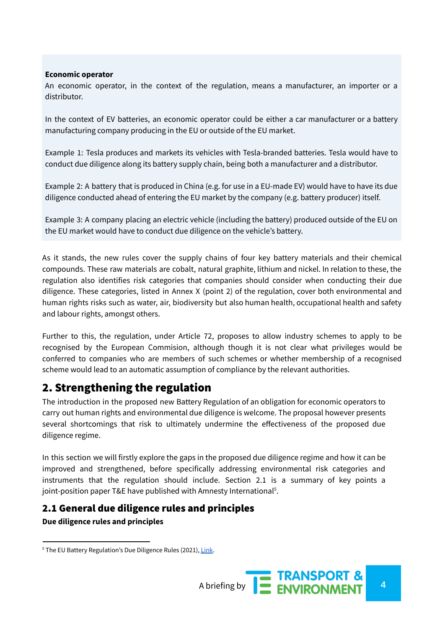#### **Economic operator**

An economic operator, in the context of the regulation, means a manufacturer, an importer or a distributor.

In the context of EV batteries, an economic operator could be either a car manufacturer or a battery manufacturing company producing in the EU or outside of the EU market.

Example 1: Tesla produces and markets its vehicles with Tesla-branded batteries. Tesla would have to conduct due diligence along its battery supply chain, being both a manufacturer and a distributor.

Example 2: A battery that is produced in China (e.g. for use in a EU-made EV) would have to have its due diligence conducted ahead of entering the EU market by the company (e.g. battery producer) itself.

Example 3: A company placing an electric vehicle (including the battery) produced outside of the EU on the EU market would have to conduct due diligence on the vehicle's battery.

As it stands, the new rules cover the supply chains of four key battery materials and their chemical compounds. These raw materials are cobalt, natural graphite, lithium and nickel. In relation to these, the regulation also identifies risk categories that companies should consider when conducting their due diligence. These categories, listed in Annex X (point 2) of the regulation, cover both environmental and human rights risks such as water, air, biodiversity but also human health, occupational health and safety and labour rights, amongst others.

Further to this, the regulation, under Article 72, proposes to allow industry schemes to apply to be recognised by the European Commision, although though it is not clear what privileges would be conferred to companies who are members of such schemes or whether membership of a recognised scheme would lead to an automatic assumption of compliance by the relevant authorities.

## 2. Strengthening the regulation

The introduction in the proposed new Battery Regulation of an obligation for economic operators to carry out human rights and environmental due diligence is welcome. The proposal however presents several shortcomings that risk to ultimately undermine the effectiveness of the proposed due diligence regime.

In this section we will firstly explore the gaps in the proposed due diligence regime and how it can be improved and strengthened, before specifically addressing environmental risk categories and instruments that the regulation should include. Section 2.1 is a summary of key points a joint-position paper T&E have published with Amnesty International<sup>5</sup>.

## 2.1 General due diligence rules and principles **Due diligence rules and principles**

<sup>&</sup>lt;sup>5</sup> The EU Battery Regulation's Due Diligence Rules (2021), [Link](https://www.transportenvironment.org/discover/the-eu-battery-regulations-due-diligence-rules/).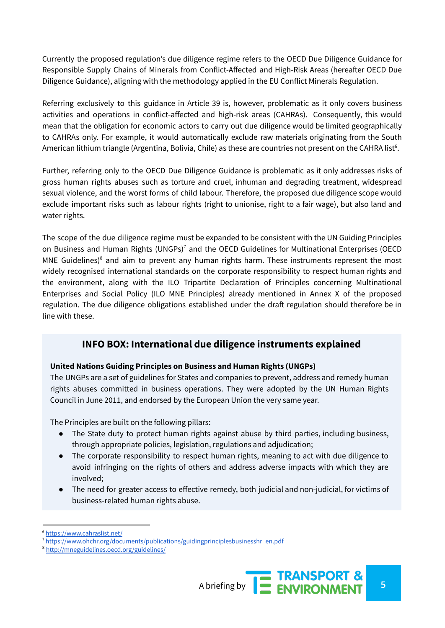Currently the proposed regulation's due diligence regime refers to the OECD Due Diligence Guidance for Responsible Supply Chains of Minerals from Conflict-Affected and High-Risk Areas (hereafter OECD Due Diligence Guidance), aligning with the methodology applied in the EU Conflict Minerals Regulation.

Referring exclusively to this guidance in Article 39 is, however, problematic as it only covers business activities and operations in conflict-affected and high-risk areas (CAHRAs). Consequently, this would mean that the obligation for economic actors to carry out due diligence would be limited geographically to CAHRAs only. For example, it would automatically exclude raw materials originating from the South American lithium triangle (Argentina, Bolivia, Chile) as these are countries not present on the CAHRA list $6$ .

Further, referring only to the OECD Due Diligence Guidance is problematic as it only addresses risks of gross human rights abuses such as torture and cruel, inhuman and degrading treatment, widespread sexual violence, and the worst forms of child labour. Therefore, the proposed due diligence scope would exclude important risks such as labour rights (right to unionise, right to a fair wage), but also land and water rights.

The scope of the due diligence regime must be expanded to be consistent with the UN Guiding Principles on Business and Human Rights (UNGPs)<sup>7</sup> and the OECD Guidelines for Multinational Enterprises (OECD MNE Guidelines) $8$  and aim to prevent any human rights harm. These instruments represent the most widely recognised international standards on the corporate responsibility to respect human rights and the environment, along with the ILO Tripartite Declaration of Principles concerning Multinational Enterprises and Social Policy (ILO MNE Principles) already mentioned in Annex X of the proposed regulation. The due diligence obligations established under the draft regulation should therefore be in line with these.

## **INFO BOX: International due diligence instruments explained**

## **United Nations Guiding Principles on Business and Human Rights (UNGPs)**

The UNGPs are a set of guidelines for States and companies to prevent, address and remedy human rights abuses committed in business operations. They were adopted by the UN Human Rights Council in June 2011, and endorsed by the European Union the very same year.

The Principles are built on the following pillars:

- The State duty to protect human rights against abuse by third parties, including business, through appropriate policies, legislation, regulations and adjudication;
- The corporate responsibility to respect human rights, meaning to act with due diligence to avoid infringing on the rights of others and address adverse impacts with which they are involved;
- The need for greater access to effective remedy, both judicial and non-judicial, for victims of business-related human rights abuse.

<sup>6</sup> <https://www.cahraslist.net/>

<sup>&</sup>lt;sup>7</sup> [https://www.ohchr.org/documents/publications/guidingprinciplesbusinesshr\\_en.pdf](https://www.ohchr.org/documents/publications/guidingprinciplesbusinesshr_en.pdf)

<sup>8</sup> <http://mneguidelines.oecd.org/guidelines/>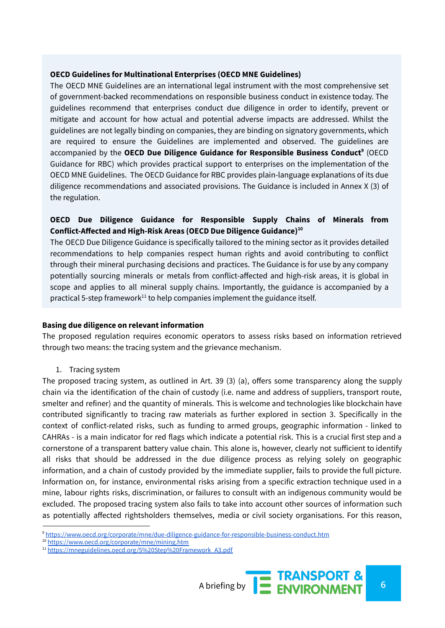#### **OECD Guidelines for Multinational Enterprises (OECD MNE Guidelines)**

The OECD MNE Guidelines are an international legal instrument with the most comprehensive set of government-backed recommendations on responsible business conduct in existence today. The guidelines recommend that enterprises conduct due diligence in order to identify, prevent or mitigate and account for how actual and potential adverse impacts are addressed. Whilst the guidelines are not legally binding on companies, they are binding on signatory governments, which are required to ensure the Guidelines are implemented and observed. The guidelines are accompanied by the OECD Due Diligence Guidance for Responsible Business Conduct<sup>9</sup> (OECD Guidance for RBC) which provides practical support to enterprises on the implementation of the OECD MNE Guidelines. The OECD Guidance for RBC provides plain-language explanations of its due diligence recommendations and associated provisions. The Guidance is included in Annex X (3) of the regulation.

## **OECD Due Diligence Guidance for Responsible Supply Chains of Minerals from Conflict-Affected and High-Risk Areas (OECD Due Diligence Guidance) 10**

The OECD Due Diligence Guidance is specifically tailored to the mining sector as it provides detailed recommendations to help companies respect human rights and avoid contributing to conflict through their mineral purchasing decisions and practices. The Guidance is for use by any company potentially sourcing minerals or metals from conflict-affected and high-risk areas, it is global in scope and applies to all mineral supply chains. Importantly, the guidance is accompanied by a practical 5-step framework $11$  to help companies implement the guidance itself.

#### **Basing due diligence on relevant information**

The proposed regulation requires economic operators to assess risks based on information retrieved through two means: the tracing system and the grievance mechanism.

#### 1. Tracing system

The proposed tracing system, as outlined in Art. 39 (3) (a), offers some transparency along the supply chain via the identification of the chain of custody (i.e. name and address of suppliers, transport route, smelter and refiner) and the quantity of minerals. This is welcome and technologies like blockchain have contributed significantly to tracing raw materials as further explored in section 3. Specifically in the context of conflict-related risks, such as funding to armed groups, geographic information - linked to CAHRAs - is a main indicator for red flags which indicate a potential risk. This is a crucial first step and a cornerstone of a transparent battery value chain. This alone is, however, clearly not sufficient to identify all risks that should be addressed in the due diligence process as relying solely on geographic information, and a chain of custody provided by the immediate supplier, fails to provide the full picture. Information on, for instance, environmental risks arising from a specific extraction technique used in a mine, labour rights risks, discrimination, or failures to consult with an indigenous community would be excluded. The proposed tracing system also fails to take into account other sources of information such as potentially affected rightsholders themselves, media or civil society organisations. For this reason,

<sup>9</sup> <https://www.oecd.org/corporate/mne/due-diligence-guidance-for-responsible-business-conduct.htm>

<sup>10</sup> <https://www.oecd.org/corporate/mne/mining.htm>

<sup>&</sup>lt;sup>11</sup> [https://mneguidelines.oecd.org/5%20Step%20Framework\\_A3.pdf](https://mneguidelines.oecd.org/5%20Step%20Framework_A3.pdf)

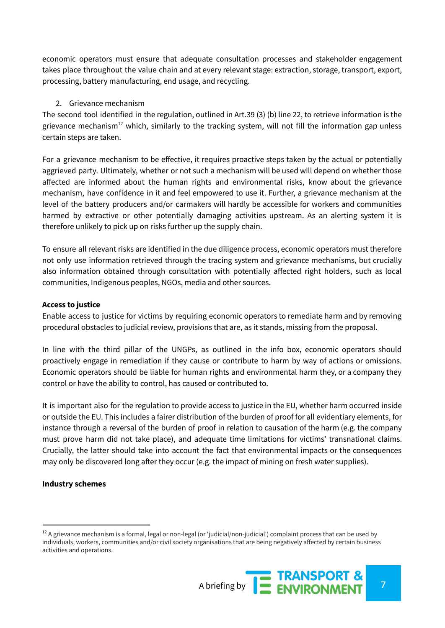economic operators must ensure that adequate consultation processes and stakeholder engagement takes place throughout the value chain and at every relevant stage: extraction, storage, transport, export, processing, battery manufacturing, end usage, and recycling.

#### 2. Grievance mechanism

The second tool identified in the regulation, outlined in Art.39 (3) (b) line 22, to retrieve information is the grievance mechanism<sup>12</sup> which, similarly to the tracking system, will not fill the information gap unless certain steps are taken.

For a grievance mechanism to be effective, it requires proactive steps taken by the actual or potentially aggrieved party. Ultimately, whether or not such a mechanism will be used will depend on whether those affected are informed about the human rights and environmental risks, know about the grievance mechanism, have confidence in it and feel empowered to use it. Further, a grievance mechanism at the level of the battery producers and/or carmakers will hardly be accessible for workers and communities harmed by extractive or other potentially damaging activities upstream. As an alerting system it is therefore unlikely to pick up on risks further up the supply chain.

To ensure all relevant risks are identified in the due diligence process, economic operators must therefore not only use information retrieved through the tracing system and grievance mechanisms, but crucially also information obtained through consultation with potentially affected right holders, such as local communities, Indigenous peoples, NGOs, media and other sources.

#### **Access to justice**

Enable access to justice for victims by requiring economic operators to remediate harm and by removing procedural obstacles to judicial review, provisions that are, as it stands, missing from the proposal.

In line with the third pillar of the UNGPs, as outlined in the info box, economic operators should proactively engage in remediation if they cause or contribute to harm by way of actions or omissions. Economic operators should be liable for human rights and environmental harm they, or a company they control or have the ability to control, has caused or contributed to.

It is important also for the regulation to provide access to justice in the EU, whether harm occurred inside or outside the EU. This includes a fairer distribution of the burden of proof for all evidentiary elements, for instance through a reversal of the burden of proof in relation to causation of the harm (e.g. the company must prove harm did not take place), and adequate time limitations for victims' transnational claims. Crucially, the latter should take into account the fact that environmental impacts or the consequences may only be discovered long after they occur (e.g. the impact of mining on fresh water supplies).

#### **Industry schemes**

 $12$  A grievance mechanism is a formal, legal or non-legal (or 'judicial/non-judicial') complaint process that can be used by individuals, workers, communities and/or civil society organisations that are being negatively affected by certain business activities and operations.

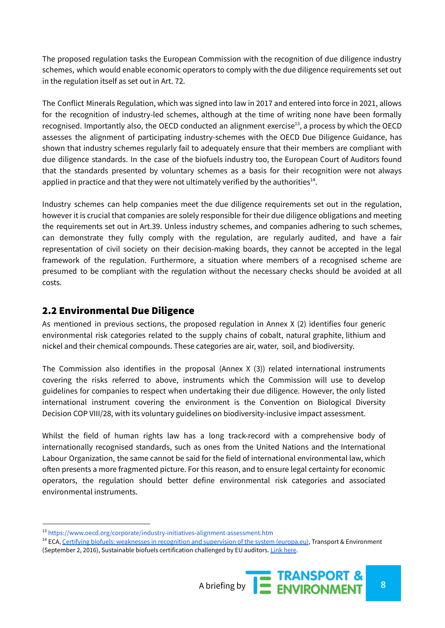The proposed regulation tasks the European Commission with the recognition of due diligence industry schemes, which would enable economic operators to comply with the due diligence requirements set out in the regulation itself as set out in Art. 72.

The Conflict Minerals Regulation, which was signed into law in 2017 and entered into force in 2021, allows for the recognition of industry-led schemes, although at the time of writing none have been formally recognised. Importantly also, the OECD conducted an alignment exercise<sup>13</sup>, a process by which the OECD assesses the alignment of participating industry-schemes with the OECD Due Diligence Guidance, has shown that industry schemes regularly fail to adequately ensure that their members are compliant with due diligence standards. In the case of the biofuels industry too, the European Court of Auditors found that the standards presented by voluntary schemes as a basis for their recognition were not always applied in practice and that they were not ultimately verified by the authorities $<sup>14</sup>$ .</sup>

Industry schemes can help companies meet the due diligence requirements set out in the regulation, however it is crucial that companies are solely responsible for their due diligence obligations and meeting the requirements set out in Art.39. Unless industry schemes, and companies adhering to such schemes, can demonstrate they fully comply with the regulation, are regularly audited, and have a fair representation of civil society on their decision-making boards, they cannot be accepted in the legal framework of the regulation. Furthermore, a situation where members of a recognised scheme are presumed to be compliant with the regulation without the necessary checks should be avoided at all costs.

## 2.2 Environmental Due Diligence

As mentioned in previous sections, the proposed regulation in Annex X (2) identifies four generic environmental risk categories related to the supply chains of cobalt, natural graphite, lithium and nickel and their chemical compounds. These categories are air, water, soil, and biodiversity.

The Commission also identifies in the proposal (Annex  $X(3)$ ) related international instruments covering the risks referred to above, instruments which the Commission will use to develop guidelines for companies to respect when undertaking their due diligence. However, the only listed international instrument covering the environment is the Convention on Biological Diversity Decision COP VIII/28, with its voluntary guidelines on biodiversity-inclusive impact assessment.

Whilst the field of human rights law has a long track-record with a comprehensive body of internationally recognised standards, such as ones from the United Nations and the International Labour Organization, the same cannot be said for the field of international environmental law, which often presents a more fragmented picture. For this reason, and to ensure legal certainty for economic operators, the regulation should better define environmental risk categories and associated environmental instruments.

<sup>&</sup>lt;sup>14</sup> ECA, Certifying biofuels: [weaknesses](https://www.eca.europa.eu/en/Pages/NewsItem.aspx?nid=7172) in recognition and supervision of the system (europa.eu), Transport & Environment (September 2, 2016), Sustainable biofuels certification challenged by EU auditors. [Link](https://www.transportenvironment.org/news/sustainable%E2%80%99-biofuels-certification-challenged-eu-auditors) here.



<sup>13</sup> <https://www.oecd.org/corporate/industry-initiatives-alignment-assessment.htm>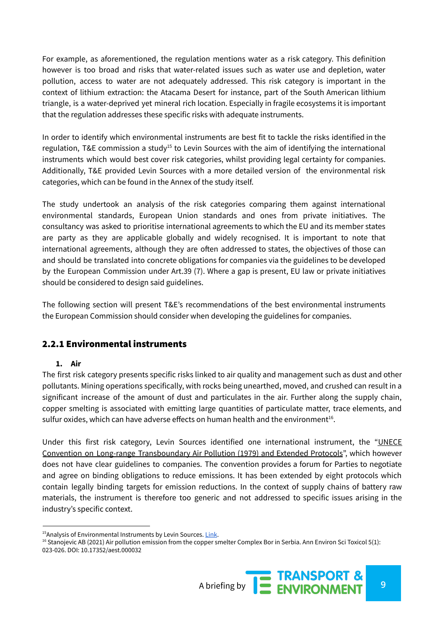For example, as aforementioned, the regulation mentions water as a risk category. This definition however is too broad and risks that water-related issues such as water use and depletion, water pollution, access to water are not adequately addressed. This risk category is important in the context of lithium extraction: the Atacama Desert for instance, part of the South American lithium triangle, is a water-deprived yet mineral rich location. Especially in fragile ecosystems it is important that the regulation addresses these specific risks with adequate instruments.

In order to identify which environmental instruments are best fit to tackle the risks identified in the regulation, T&E commission a study<sup>15</sup> to Levin Sources with the aim of identifying the international instruments which would best cover risk categories, whilst providing legal certainty for companies. Additionally, T&E provided Levin Sources with a more detailed version of the environmental risk categories, which can be found in the Annex of the study itself.

The study undertook an analysis of the risk categories comparing them against international environmental standards, European Union standards and ones from private initiatives. The consultancy was asked to prioritise international agreements to which the EU and its member states are party as they are applicable globally and widely recognised. It is important to note that international agreements, although they are often addressed to states, the objectives of those can and should be translated into concrete obligations for companies via the guidelines to be developed by the European Commission under Art.39 (7). Where a gap is present, EU law or private initiatives should be considered to design said guidelines.

The following section will present T&E's recommendations of the best environmental instruments the European Commission should consider when developing the guidelines for companies.

## 2.2.1 Environmental instruments

## **1. Air**

The first risk category presents specific risks linked to air quality and management such as dust and other pollutants. Mining operations specifically, with rocks being unearthed, moved, and crushed can result in a significant increase of the amount of dust and particulates in the air. Further along the supply chain, copper smelting is associated with emitting large quantities of particulate matter, trace elements, and sulfur oxides, which can have adverse effects on human health and the environment $^{16}$ .

Under this first risk category, Levin Sources identified one international instrument, the "UNECE Convention on Long-range Transboundary Air Pollution (1979) and Extended Protocols", which however does not have clear guidelines to companies. The convention provides a forum for Parties to negotiate and agree on binding obligations to reduce emissions. It has been extended by eight protocols which contain legally binding targets for emission reductions. In the context of supply chains of battery raw materials, the instrument is therefore too generic and not addressed to specific issues arising in the industry's specific context.

<sup>&</sup>lt;sup>15</sup>Analysis of Environmental Instruments by Levin Sources. [Link.](https://www.transportenvironment.org/discover/due-diligence-rules-for-batteries-making-them-work-for-the-environment-and-communities/)

<sup>&</sup>lt;sup>16</sup> Stanojevic AB (2021) Air pollution emission from the copper smelter Complex Bor in Serbia. Ann Environ Sci Toxicol 5(1): 023-026. DOI: 10.17352/aest.000032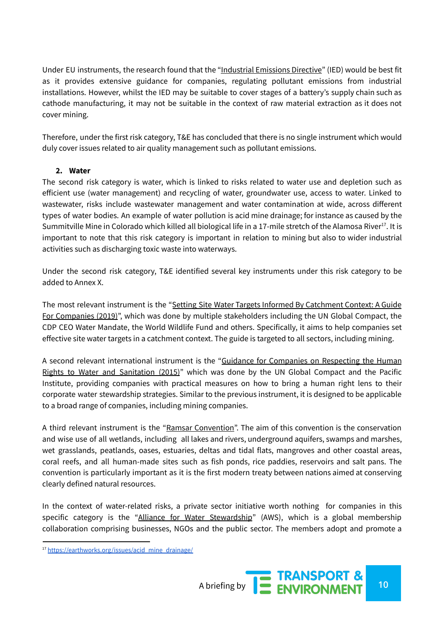Under EU instruments, the research found that the "Industrial Emissions Directive" (IED) would be best fit as it provides extensive guidance for companies, regulating pollutant emissions from industrial installations. However, whilst the IED may be suitable to cover stages of a battery's supply chain such as cathode manufacturing, it may not be suitable in the context of raw material extraction as it does not cover mining.

Therefore, under the first risk category, T&E has concluded that there is no single instrument which would duly cover issues related to air quality management such as pollutant emissions.

## **2. Water**

The second risk category is water, which is linked to risks related to water use and depletion such as efficient use (water management) and recycling of water, groundwater use, access to water. Linked to wastewater, risks include wastewater management and water contamination at wide, across different types of water bodies. An example of water pollution is acid mine drainage; for instance as caused by the Summitville Mine in Colorado which killed all biological life in a 17-mile stretch of the Alamosa River<sup>17</sup>. It is important to note that this risk category is important in relation to mining but also to wider industrial activities such as discharging toxic waste into waterways.

Under the second risk category, T&E identified several key instruments under this risk category to be added to Annex X.

The most relevant instrument is the "Setting Site Water Targets Informed By Catchment Context: A Guide For Companies (2019)", which was done by multiple stakeholders including the UN Global Compact, the CDP CEO Water Mandate, the World Wildlife Fund and others. Specifically, it aims to help companies set effective site water targets in a catchment context. The guide is targeted to all sectors, including mining.

A second relevant international instrument is the "Guidance for Companies on Respecting the Human Rights to Water and Sanitation (2015)" which was done by the UN Global Compact and the Pacific Institute, providing companies with practical measures on how to bring a human right lens to their corporate water stewardship strategies. Similar to the previous instrument, it is designed to be applicable to a broad range of companies, including mining companies.

A third relevant instrument is the "Ramsar Convention". The aim of this convention is the conservation and wise use of all wetlands, including all lakes and rivers, underground aquifers, swamps and marshes, wet grasslands, peatlands, oases, estuaries, deltas and tidal flats, mangroves and other coastal areas, coral reefs, and all human-made sites such as fish ponds, rice paddies, reservoirs and salt pans. The convention is particularly important as it is the first modern treaty between nations aimed at conserving clearly defined natural resources.

In the context of water-related risks, a private sector initiative worth nothing for companies in this specific category is the "Alliance for Water Stewardship" (AWS), which is a global membership collaboration comprising businesses, NGOs and the public sector. The members adopt and promote a

<sup>17</sup> [https://earthworks.org/issues/acid\\_mine\\_drainage/](https://earthworks.org/issues/acid_mine_drainage/)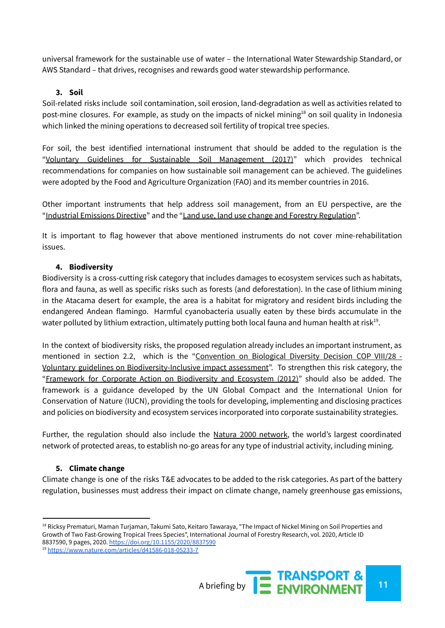universal framework for the sustainable use of water – the International Water Stewardship Standard, or AWS Standard – that drives, recognises and rewards good water stewardship performance.

## **3. Soil**

Soil-related risks include soil contamination, soil erosion, land-degradation as well as activities related to post-mine closures. For example, as study on the impacts of nickel mining<sup>18</sup> on soil quality in Indonesia which linked the mining operations to decreased soil fertility of tropical tree species.

For soil, the best identified international instrument that should be added to the regulation is the "Voluntary Guidelines for Sustainable Soil Management (2017)" which provides technical recommendations for companies on how sustainable soil management can be achieved. The guidelines were adopted by the Food and Agriculture Organization (FAO) and its member countries in 2016.

Other important instruments that help address soil management, from an EU perspective, are the "Industrial Emissions Directive" and the "Land use, land use change and Forestry Regulation".

It is important to flag however that above mentioned instruments do not cover mine-rehabilitation issues.

## **4. Biodiversity**

Biodiversity is a cross-cutting risk category that includes damages to ecosystem services such as habitats, flora and fauna, as well as specific risks such as forests (and deforestation). In the case of lithium mining in the Atacama desert for example, the area is a habitat for migratory and resident birds including the endangered Andean flamingo. Harmful cyanobacteria usually eaten by these birds accumulate in the water polluted by lithium extraction, ultimately putting both local fauna and human health at risk $^{19}$ .

In the context of biodiversity risks, the proposed regulation already includes an important instrument, as mentioned in section 2.2, which is the "Convention on Biological Diversity Decision COP VIII/28 - Voluntary guidelines on Biodiversity-Inclusive impact assessment". To strengthen this risk category, the "Framework for Corporate Action on Biodiversity and Ecosystem (2012)" should also be added. The framework is a guidance developed by the UN Global Compact and the International Union for Conservation of Nature (IUCN), providing the tools for developing, implementing and disclosing practices and policies on biodiversity and ecosystem services incorporated into corporate sustainability strategies.

Further, the regulation should also include the Natura 2000 network, the world's largest coordinated network of protected areas, to establish no-go areas for any type of industrial activity, including mining.

## **5. Climate change**

Climate change is one of the risks T&E advocates to be added to the risk categories. As part of the battery regulation, businesses must address their impact on climate change, namely greenhouse gas emissions,

<sup>&</sup>lt;sup>18</sup> Ricksy Prematuri, Maman Turjaman, Takumi Sato, Keitaro Tawaraya, "The Impact of Nickel Mining on Soil Properties and Growth of Two Fast-Growing Tropical Trees Species", International Journal of Forestry Research, vol. 2020, Article ID 8837590, 9 pages, 2020. <https://doi.org/10.1155/2020/8837590>

<sup>19</sup> <https://www.nature.com/articles/d41586-018-05233-7>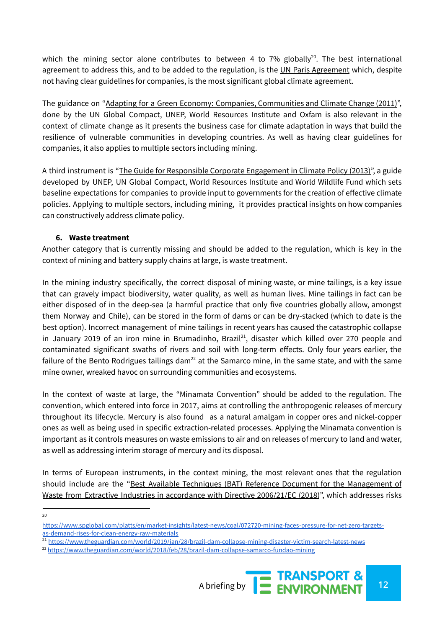which the mining sector alone contributes to between 4 to  $7\%$  globally<sup>20</sup>. The best international agreement to address this, and to be added to the regulation, is the UN Paris Agreement which, despite not having clear guidelines for companies, is the most significant global climate agreement.

The guidance on "Adapting for a Green Economy: Companies, Communities and Climate Change (2011)", done by the UN Global Compact, UNEP, World Resources Institute and Oxfam is also relevant in the context of climate change as it presents the business case for climate adaptation in ways that build the resilience of vulnerable communities in developing countries. As well as having clear guidelines for companies, it also applies to multiple sectors including mining.

A third instrument is "The Guide for Responsible Corporate Engagement in Climate Policy (2013)", a guide developed by UNEP, UN Global Compact, World Resources Institute and World Wildlife Fund which sets baseline expectations for companies to provide input to governments for the creation of effective climate policies. Applying to multiple sectors, including mining, it provides practical insights on how companies can constructively address climate policy.

## **6. Waste treatment**

Another category that is currently missing and should be added to the regulation, which is key in the context of mining and battery supply chains at large, is waste treatment.

In the mining industry specifically, the correct disposal of mining waste, or mine tailings, is a key issue that can gravely impact biodiversity, water quality, as well as human lives. Mine tailings in fact can be either disposed of in the deep-sea (a harmful practice that only five countries globally allow, amongst them Norway and Chile), can be stored in the form of dams or can be dry-stacked (which to date is the best option). Incorrect management of mine tailings in recent years has caused the catastrophic collapse in January 2019 of an iron mine in Brumadinho, Brazil $^{21}$ , disaster which killed over 270 people and contaminated significant swaths of rivers and soil with long-term effects. Only four years earlier, the failure of the Bento Rodrigues tailings dam<sup>22</sup> at the Samarco mine, in the same state, and with the same mine owner, wreaked havoc on surrounding communities and ecosystems.

In the context of waste at large, the "Minamata Convention" should be added to the regulation. The convention, which entered into force in 2017, aims at controlling the anthropogenic releases of mercury throughout its lifecycle. Mercury is also found as a natural amalgam in copper ores and nickel-copper ones as well as being used in specific extraction-related processes. Applying the Minamata convention is important as it controls measures on waste emissions to air and on releases of mercury to land and water, as well as addressing interim storage of mercury and its disposal.

In terms of European instruments, in the context mining, the most relevant ones that the regulation should include are the "Best Available Techniques (BAT) Reference Document for the Management of Waste from Extractive Industries in accordance with Directive 2006/21/EC (2018)", which addresses risks

20

<sup>21</sup> <https://www.theguardian.com/world/2019/jan/28/brazil-dam-collapse-mining-disaster-victim-search-latest-news>

<sup>&</sup>lt;sup>22</sup> <https://www.theguardian.com/world/2018/feb/28/brazil-dam-collapse-samarco-fundao-mining>



[https://www.spglobal.com/platts/en/market-insights/latest-news/coal/072720-mining-faces-pressure-for-net-zero-targets](https://www.spglobal.com/platts/en/market-insights/latest-news/coal/072720-mining-faces-pressure-for-net-zero-targets-as-demand-rises-for-clean-energy-raw-materials)[as-demand-rises-for-clean-energy-raw-materials](https://www.spglobal.com/platts/en/market-insights/latest-news/coal/072720-mining-faces-pressure-for-net-zero-targets-as-demand-rises-for-clean-energy-raw-materials)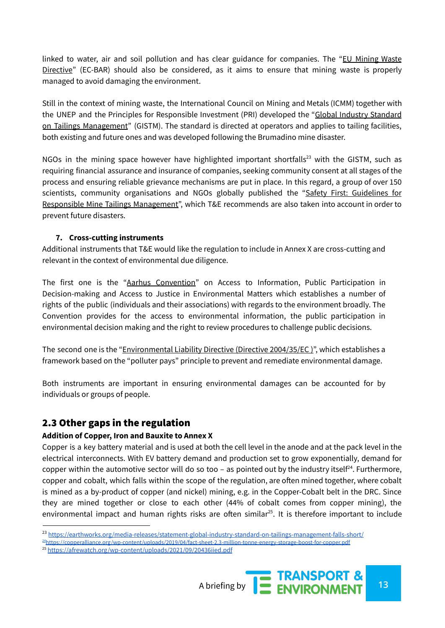linked to water, air and soil pollution and has clear guidance for companies. The "EU Mining Waste Directive" (EC-BAR) should also be considered, as it aims to ensure that mining waste is properly managed to avoid damaging the environment.

Still in the context of mining waste, the International Council on Mining and Metals (ICMM) together with the UNEP and the Principles for Responsible Investment (PRI) developed the "Global Industry Standard on Tailings Management" (GISTM). The standard is directed at operators and applies to tailing facilities, both existing and future ones and was developed following the Brumadino mine disaster.

NGOs in the mining space however have highlighted important shortfalls<sup>23</sup> with the GISTM, such as requiring financial assurance and insurance of companies, seeking community consent at all stages of the process and ensuring reliable grievance mechanisms are put in place. In this regard, a group of over 150 scientists, community organisations and NGOs globally published the "Safety First: [Guidelines](https://earthworks.org/safety-first) for Responsible Mine Tailings [Management"](https://earthworks.org/safety-first), which T&E recommends are also taken into account in order to prevent future disasters.

## **7. Cross-cutting instruments**

Additional instruments that T&E would like the regulation to include in Annex X are cross-cutting and relevant in the context of environmental due diligence.

The first one is the "Aarhus Convention" on Access to Information, Public Participation in Decision-making and Access to Justice in Environmental Matters which establishes a number of rights of the public (individuals and their associations) with regards to the environment broadly. The Convention provides for the access to environmental information, the public participation in environmental decision making and the right to review procedures to challenge public decisions.

The second one is the "Environmental Liability Directive (Directive 2004/35/EC )", which establishes a framework based on the "polluter pays" principle to prevent and remediate environmental damage.

Both instruments are important in ensuring environmental damages can be accounted for by individuals or groups of people.

## 2.3 Other gaps in the regulation

#### **Addition of Copper, Iron and Bauxite to Annex X**

Copper is a key battery material and is used at both the cell level in the anode and at the pack level in the electrical interconnects. With EV battery demand and production set to grow exponentially, demand for copper within the automotive sector will do so too - as pointed out by the industry itself<sup>24</sup>. Furthermore, copper and cobalt, which falls within the scope of the regulation, are often mined together, where cobalt is mined as a by-product of copper (and nickel) mining, e.g. in the Copper-Cobalt belt in the DRC. Since they are mined together or close to each other (44% of cobalt comes from copper mining), the environmental impact and human rights risks are often similar<sup>25</sup>. It is therefore important to include

<sup>&</sup>lt;sup>25</sup> <https://afrewatch.org/wp-content/uploads/2021/09/20436iied.pdf>



<sup>23</sup> <https://earthworks.org/media-releases/statement-global-industry-standard-on-tailings-management-falls-short/>

<sup>&</sup>lt;sup>24</sup><https://copperalliance.org/wp-content/uploads/2019/04/fact-sheet-2.3-million-tonne-energy-storage-boost-for-copper.pdf>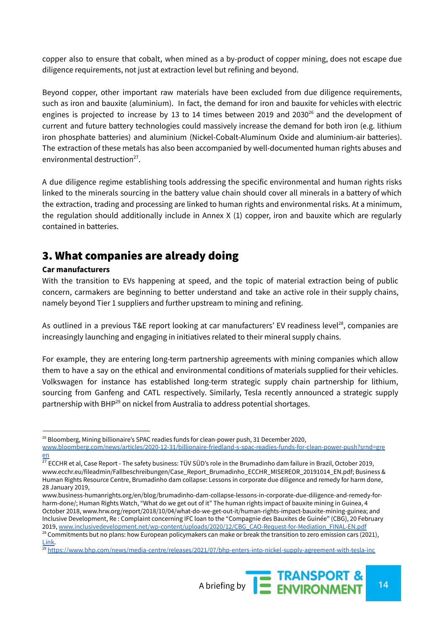copper also to ensure that cobalt, when mined as a by-product of copper mining, does not escape due diligence requirements, not just at extraction level but refining and beyond.

Beyond copper, other important raw materials have been excluded from due diligence requirements, such as iron and bauxite (aluminium). In fact, the demand for iron and bauxite for vehicles with electric engines is projected to increase by 13 to 14 times between 2019 and 2030 $^{26}$  and the development of current and future battery technologies could massively increase the demand for both iron (e.g. lithium iron phosphate batteries) and aluminium (Nickel-Cobalt-Aluminum Oxide and aluminium-air batteries). The extraction of these metals has also been accompanied by well-documented human rights abuses and environmental destruction<sup>27</sup>.

A due diligence regime establishing tools addressing the specific environmental and human rights risks linked to the minerals sourcing in the battery value chain should cover all minerals in a battery of which the extraction, trading and processing are linked to human rights and environmental risks. At a minimum, the regulation should additionally include in Annex X (1) copper, iron and bauxite which are regularly contained in batteries.

# 3. What companies are already doing

## **Car manufacturers**

With the transition to EVs happening at speed, and the topic of material extraction being of public concern, carmakers are beginning to better understand and take an active role in their supply chains, namely beyond Tier 1 suppliers and further upstream to mining and refining.

As outlined in a previous T&E report looking at car manufacturers' EV readiness level<sup>28</sup>, companies are increasingly launching and engaging in initiatives related to their mineral supply chains.

For example, they are entering long-term partnership agreements with mining companies which allow them to have a say on the ethical and environmental conditions of materials supplied for their vehicles. Volkswagen for instance has established long-term strategic supply chain partnership for lithium, sourcing from Ganfeng and CATL respectively. Similarly, Tesla recently announced a strategic supply partnership with BHP<sup>29</sup> on nickel from Australia to address potential shortages.

<sup>&</sup>lt;sup>29</sup> <https://www.bhp.com/news/media-centre/releases/2021/07/bhp-enters-into-nickel-supply-agreement-with-tesla-inc>



<sup>&</sup>lt;sup>26</sup> Bloomberg, Mining billionaire's SPAC readies funds for clean-power push, 31 December 2020, [www.bloomberg.com/news/articles/2020-12-31/billionaire-friedland-s-spac-readies-funds-for-clean-power-push?srnd=gre](http://www.bloomberg.com/news/articles/2020-12-31/billionaire-friedland-s-spac-readies-funds-for-clean-power-push?srnd=green) [en](http://www.bloomberg.com/news/articles/2020-12-31/billionaire-friedland-s-spac-readies-funds-for-clean-power-push?srnd=green)

 $^{27}$  ECCHR et al, Case Report - The safety business: TÜV SÜD's role in the Brumadinho dam failure in Brazil, October 2019, www.ecchr.eu/fileadmin/Fallbeschreibungen/Case\_Report\_Brumadinho\_ECCHR\_MISEREOR\_20191014\_EN.pdf; Business & Human Rights Resource Centre, Brumadinho dam collapse: Lessons in corporate due diligence and remedy for harm done, 28 January 2019,

www.business-humanrights.org/en/blog/brumadinho-dam-collapse-lessons-in-corporate-due-diligence-and-remedy-forharm-done/; Human Rights Watch, "What do we get out of it" The human rights impact of bauxite mining in Guinea, 4 October 2018, www.hrw.org/report/2018/10/04/what-do-we-get-out-it/human-rights-impact-bauxite-mining-guinea; and Inclusive Development, Re : Complaint concerning IFC loan to the "Compagnie des Bauxites de Guinée" (CBG), 20 February 2019, [www.inclusivedevelopment.net/wp-content/uploads/2020/12/CBG\\_CAO-Request-for-Mediation\\_FINAL-EN.pdf](http://www.inclusivedevelopment.net/wp-content/uploads/2020/12/CBG_CAO-Request-for-Mediation_FINAL-EN.pdf)

<sup>&</sup>lt;sup>28</sup> Commitments but no plans: how European policymakers can make or break the transition to zero emission cars (2021), [Link.](https://www.transportenvironment.org/discover/commitments-but-no-plans-how-european-policymakers-can-make-or-break-the-transition-to-zero-emission-cars/)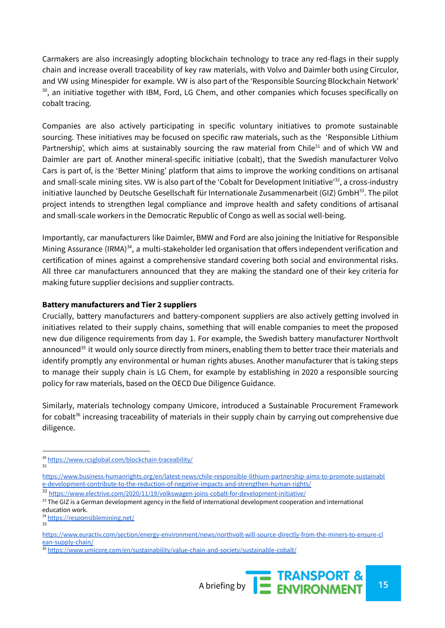Carmakers are also increasingly adopting blockchain technology to trace any red-flags in their supply chain and increase overall traceability of key raw materials, with Volvo and Daimler both using Circulor, and VW using Minespider for example. VW is also part of the 'Responsible Sourcing Blockchain Network' <sup>30</sup>, an initiative together with IBM, Ford, LG Chem, and other companies which focuses specifically on cobalt tracing.

Companies are also actively participating in specific voluntary initiatives to promote sustainable sourcing. These initiatives may be focused on specific raw materials, such as the 'Responsible Lithium Partnership', which aims at sustainably sourcing the raw material from Chile<sup>31</sup> and of which VW and Daimler are part of. Another mineral-specific initiative (cobalt), that the Swedish manufacturer Volvo Cars is part of, is the 'Better Mining' platform that aims to improve the working conditions on artisanal and small-scale mining sites. VW is also part of the 'Cobalt for Development Initiative'<sup>32</sup>, a cross-industry initiative launched by Deutsche Gesellschaft für Internationale Zusammenarbeit (GIZ) GmbH<sup>33</sup>. The pilot project intends to strengthen legal compliance and improve health and safety conditions of artisanal and small-scale workers in the Democratic Republic of Congo as well as social well-being.

Importantly, car manufacturers like Daimler, BMW and Ford are also joining the Initiative for Responsible Mining Assurance (IRMA)<sup>34</sup>, a multi-stakeholder led organisation that offers independent verification and certification of mines against a comprehensive standard covering both social and environmental risks. All three car manufacturers announced that they are making the standard one of their key criteria for making future supplier decisions and supplier contracts.

## **Battery manufacturers and Tier 2 suppliers**

Crucially, battery manufacturers and battery-component suppliers are also actively getting involved in initiatives related to their supply chains, something that will enable companies to meet the proposed new due diligence requirements from day 1. For example, the Swedish battery manufacturer Northvolt announced<sup>35</sup> it would only source directly from miners, enabling them to better trace their materials and identify promptly any environmental or human rights abuses. Another manufacturer that is taking steps to manage their supply chain is LG Chem, for example by establishing in 2020 a responsible sourcing policy for raw materials, based on the OECD Due Diligence Guidance.

Similarly, materials technology company Umicore, introduced a Sustainable Procurement Framework for cobalt<sup>36</sup> increasing traceability of materials in their supply chain by carrying out comprehensive due diligence.

<sup>&</sup>lt;sup>36</sup> <https://www.umicore.com/en/sustainability/value-chain-and-society/sustainable-cobalt/>



<sup>31</sup> <sup>30</sup> <https://www.rcsglobal.com/blockchain-traceability/>

[https://www.business-humanrights.org/en/latest-news/chile-responsible-lithium-partnership-aims-to-promote-sustainabl](https://www.business-humanrights.org/en/latest-news/chile-responsible-lithium-partnership-aims-to-promote-sustainable-development-contribute-to-the-reduction-of-negative-impacts-and-strengthen-human-rights/) [e-development-contribute-to-the-reduction-of-negative-impacts-and-strengthen-human-rights/](https://www.business-humanrights.org/en/latest-news/chile-responsible-lithium-partnership-aims-to-promote-sustainable-development-contribute-to-the-reduction-of-negative-impacts-and-strengthen-human-rights/)

<sup>32</sup> <https://www.electrive.com/2020/11/19/volkswagen-joins-cobalt-for-development-initiative/>

 $33$  The GIZ is a German development agency in the field of international development cooperation and international education work.

<sup>35</sup> <sup>34</sup> <https://responsiblemining.net/>

[https://www.euractiv.com/section/energy-environment/news/northvolt-will-source-directly-from-the-miners-to-ensure-cl](https://www.euractiv.com/section/energy-environment/news/northvolt-will-source-directly-from-the-miners-to-ensure-clean-supply-chain/) [ean-supply-chain/](https://www.euractiv.com/section/energy-environment/news/northvolt-will-source-directly-from-the-miners-to-ensure-clean-supply-chain/)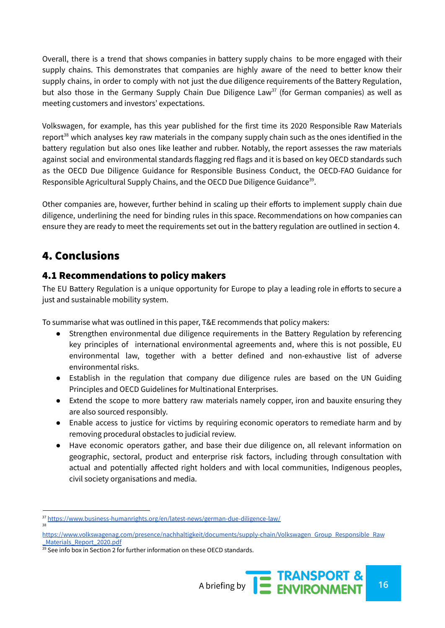Overall, there is a trend that shows companies in battery supply chains to be more engaged with their supply chains. This demonstrates that companies are highly aware of the need to better know their supply chains, in order to comply with not just the due diligence requirements of the Battery Regulation, but also those in the Germany Supply Chain Due Diligence Law<sup>37</sup> (for German companies) as well as meeting customers and investors' expectations.

Volkswagen, for example, has this year published for the first time its 2020 Responsible Raw Materials report<sup>38</sup> which analyses key raw materials in the company supply chain such as the ones identified in the battery regulation but also ones like leather and rubber. Notably, the report assesses the raw materials against social and environmental standards flagging red flags and it is based on key OECD standards such as the OECD Due Diligence Guidance for Responsible Business Conduct, the OECD-FAO Guidance for Responsible Agricultural Supply Chains, and the OECD Due Diligence Guidance<sup>39</sup>.

Other companies are, however, further behind in scaling up their efforts to implement supply chain due diligence, underlining the need for binding rules in this space. Recommendations on how companies can ensure they are ready to meet the requirements set out in the battery regulation are outlined in section 4.

# 4. Conclusions

## 4.1 Recommendations to policy makers

The EU Battery Regulation is a unique opportunity for Europe to play a leading role in efforts to secure a just and sustainable mobility system.

To summarise what was outlined in this paper, T&E recommends that policy makers:

- Strengthen environmental due diligence requirements in the Battery Regulation by referencing key principles of international environmental agreements and, where this is not possible, EU environmental law, together with a better defined and non-exhaustive list of adverse environmental risks.
- Establish in the regulation that company due diligence rules are based on the UN Guiding Principles and OECD Guidelines for Multinational Enterprises.
- Extend the scope to more battery raw materials namely copper, iron and bauxite ensuring they are also sourced responsibly.
- Enable access to justice for victims by requiring economic operators to remediate harm and by removing procedural obstacles to judicial review.
- Have economic operators gather, and base their due diligence on, all relevant information on geographic, sectoral, product and enterprise risk factors, including through consultation with actual and potentially affected right holders and with local communities, Indigenous peoples, civil society organisations and media.

<sup>38</sup> 37 <https://www.business-humanrights.org/en/latest-news/german-due-diligence-law/>

[https://www.volkswagenag.com/presence/nachhaltigkeit/documents/supply-chain/Volkswagen\\_Group\\_Responsible\\_Raw](https://www.volkswagenag.com/presence/nachhaltigkeit/documents/supply-chain/Volkswagen_Group_Responsible_Raw_Materials_Report_2020.pdf) Materials\_Report\_2020.pdf

<sup>&</sup>lt;sup>39</sup> See info box in Section 2 for further information on these OECD standards.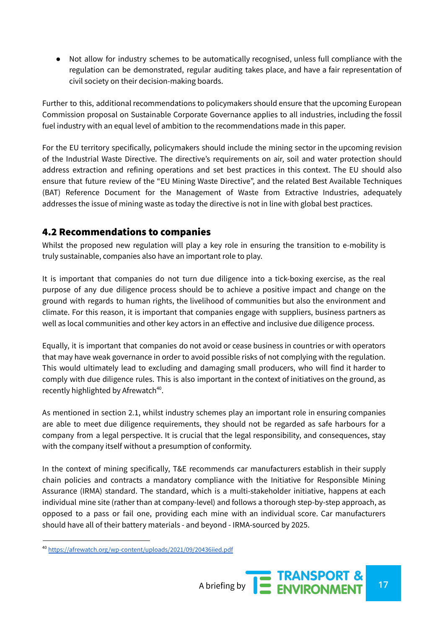Not allow for industry schemes to be automatically recognised, unless full compliance with the regulation can be demonstrated, regular auditing takes place, and have a fair representation of civil society on their decision-making boards.

Further to this, additional recommendations to policymakers should ensure that the upcoming European Commission proposal on Sustainable Corporate Governance applies to all industries, including the fossil fuel industry with an equal level of ambition to the recommendations made in this paper.

For the EU territory specifically, policymakers should include the mining sector in the upcoming revision of the Industrial Waste Directive. The directive's requirements on air, soil and water protection should address extraction and refining operations and set best practices in this context. The EU should also ensure that future review of the "EU Mining Waste Directive", and the related Best Available Techniques (BAT) Reference Document for the Management of Waste from Extractive Industries, adequately addresses the issue of mining waste as today the directive is not in line with global best practices.

## 4.2 Recommendations to companies

Whilst the proposed new regulation will play a key role in ensuring the transition to e-mobility is truly sustainable, companies also have an important role to play.

It is important that companies do not turn due diligence into a tick-boxing exercise, as the real purpose of any due diligence process should be to achieve a positive impact and change on the ground with regards to human rights, the livelihood of communities but also the environment and climate. For this reason, it is important that companies engage with suppliers, business partners as well as local communities and other key actors in an effective and inclusive due diligence process.

Equally, it is important that companies do not avoid or cease business in countries or with operators that may have weak governance in order to avoid possible risks of not complying with the regulation. This would ultimately lead to excluding and damaging small producers, who will find it harder to comply with due diligence rules. This is also important in the context of initiatives on the ground, as recently highlighted by Afrewatch<sup>40</sup>.

As mentioned in section 2.1, whilst industry schemes play an important role in ensuring companies are able to meet due diligence requirements, they should not be regarded as safe harbours for a company from a legal perspective. It is crucial that the legal responsibility, and consequences, stay with the company itself without a presumption of conformity.

In the context of mining specifically, T&E recommends car manufacturers establish in their supply chain policies and contracts a mandatory compliance with the Initiative for Responsible Mining Assurance (IRMA) standard. The standard, which is a multi-stakeholder initiative, happens at each individual mine site (rather than at company-level) and follows a thorough step-by-step approach, as opposed to a pass or fail one, providing each mine with an individual score. Car manufacturers should have all of their battery materials - and beyond - IRMA-sourced by 2025.

<sup>40</sup> <https://afrewatch.org/wp-content/uploads/2021/09/20436iied.pdf>